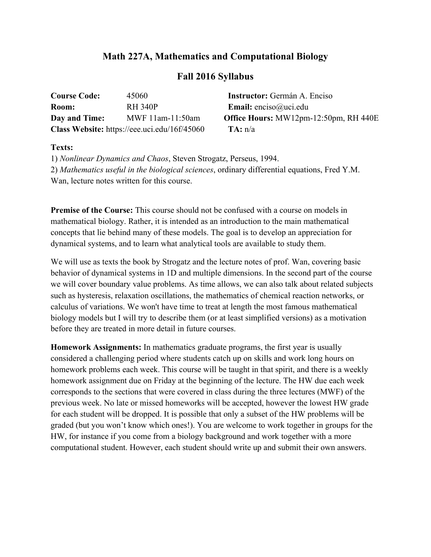## **Math 227A, Mathematics and Computational Biology**

## **Fall 2016 Syllabus**

| <b>Course Code:</b> | 45060                                        | <b>Instructor:</b> Germán A. Enciso          |
|---------------------|----------------------------------------------|----------------------------------------------|
| Room:               | <b>RH 340P</b>                               | <b>Email:</b> enciso@uci.edu                 |
| Day and Time:       | MWF $11$ am- $11:50$ am                      | <b>Office Hours:</b> MW12pm-12:50pm, RH 440E |
|                     | Class Website: https://eee.uci.edu/16f/45060 | TA: n/a                                      |

## **Texts:**

1) *Nonlinear Dynamics and Chaos*, Steven Strogatz, Perseus, 1994. 2) *Mathematics useful in the biological sciences*, ordinary differential equations, Fred Y.M. Wan, lecture notes written for this course.

**Premise of the Course:** This course should not be confused with a course on models in mathematical biology. Rather, it is intended as an introduction to the main mathematical concepts that lie behind many of these models. The goal is to develop an appreciation for dynamical systems, and to learn what analytical tools are available to study them.

We will use as texts the book by Strogatz and the lecture notes of prof. Wan, covering basic behavior of dynamical systems in 1D and multiple dimensions. In the second part of the course we will cover boundary value problems. As time allows, we can also talk about related subjects such as hysteresis, relaxation oscillations, the mathematics of chemical reaction networks, or calculus of variations. We won't have time to treat at length the most famous mathematical biology models but I will try to describe them (or at least simplified versions) as a motivation before they are treated in more detail in future courses.

**Homework Assignments:** In mathematics graduate programs, the first year is usually considered a challenging period where students catch up on skills and work long hours on homework problems each week. This course will be taught in that spirit, and there is a weekly homework assignment due on Friday at the beginning of the lecture. The HW due each week corresponds to the sections that were covered in class during the three lectures (MWF) of the previous week. No late or missed homeworks will be accepted, however the lowest HW grade for each student will be dropped. It is possible that only a subset of the HW problems will be graded (but you won't know which ones!). You are welcome to work together in groups for the HW, for instance if you come from a biology background and work together with a more computational student. However, each student should write up and submit their own answers.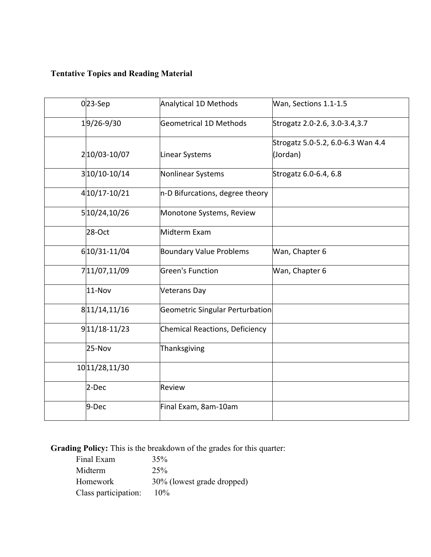## **Tentative Topics and Reading Material**

| $0 23$ -Sep         | <b>Analytical 1D Methods</b>           | Wan, Sections 1.1-1.5                         |
|---------------------|----------------------------------------|-----------------------------------------------|
| $1 9/26-9/30$       | <b>Geometrical 1D Methods</b>          | Strogatz 2.0-2.6, 3.0-3.4, 3.7                |
| 2 10/03-10/07       | Linear Systems                         | Strogatz 5.0-5.2, 6.0-6.3 Wan 4.4<br>(Jordan) |
| $3 10/10-10/14$     | Nonlinear Systems                      | Strogatz 6.0-6.4, 6.8                         |
| 4 10 / 17 - 10 / 21 | n-D Bifurcations, degree theory        |                                               |
| 5 10/24, 10/26      | Monotone Systems, Review               |                                               |
| 28-Oct              | Midterm Exam                           |                                               |
| 6 10 / 31 - 11 / 04 | <b>Boundary Value Problems</b>         | Wan, Chapter 6                                |
| 711/07,11/09        | <b>Green's Function</b>                | Wan, Chapter 6                                |
| 11-Nov              | <b>Veterans Day</b>                    |                                               |
| 8 11/14, 11/16      | <b>Geometric Singular Perturbation</b> |                                               |
| $9 11/18-11/23$     | <b>Chemical Reactions, Deficiency</b>  |                                               |
| 25-Nov              | Thanksgiving                           |                                               |
| 10 11/28, 11/30     |                                        |                                               |
| 2-Dec               | Review                                 |                                               |
| 9-Dec               | Final Exam, 8am-10am                   |                                               |

**Grading Policy:** This is the breakdown of the grades for this quarter:

| Final Exam           | 35%                        |
|----------------------|----------------------------|
| Midterm              | 25%                        |
| Homework             | 30% (lowest grade dropped) |
| Class participation: | $10\%$                     |